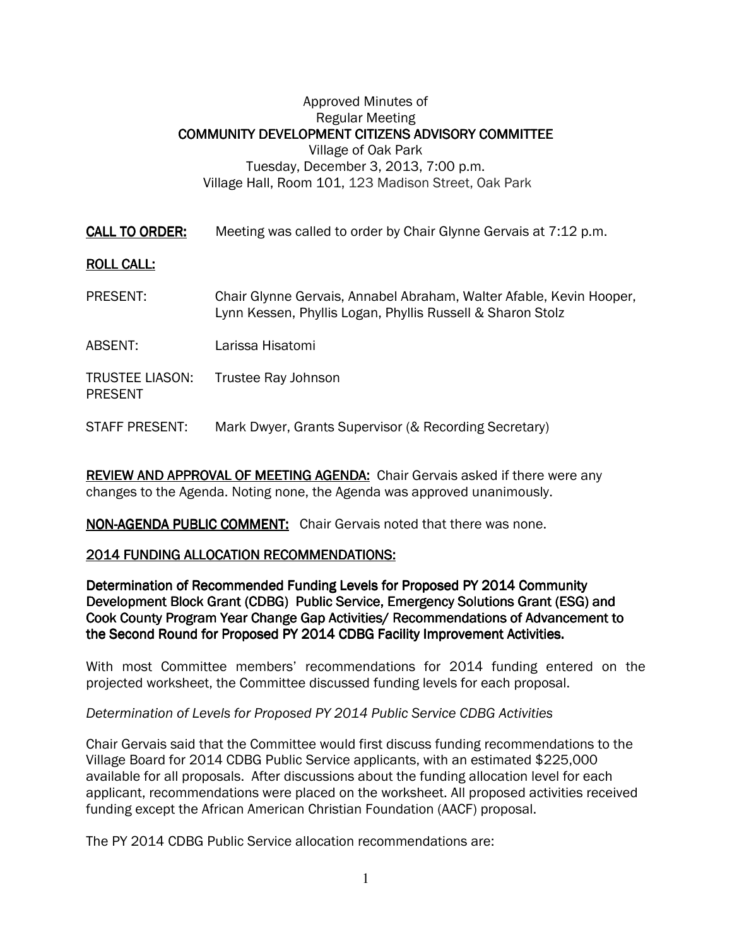# Approved Minutes of Regular Meeting COMMUNITY DEVELOPMENT CITIZENS ADVISORY COMMITTEE Village of Oak Park Tuesday, December 3, 2013, 7:00 p.m. Village Hall, Room 101, 123 Madison Street, Oak Park

**CALL TO ORDER:** Meeting was called to order by Chair Glynne Gervais at 7:12 p.m.

# **ROLL CALL:**

- PRESENT: Chair Glynne Gervais, Annabel Abraham, Walter Afable, Kevin Hooper, Lynn Kessen, Phyllis Logan, Phyllis Russell & Sharon Stolz
- ABSENT: Larissa Hisatomi
- TRUSTEE LIASON: Trustee Ray Johnson PRESENT
- STAFF PRESENT: Mark Dwyer, Grants Supervisor (& Recording Secretary)

REVIEW AND APPROVAL OF MEETING AGENDA: Chair Gervais asked if there were any changes to the Agenda. Noting none, the Agenda was approved unanimously.

NON-AGENDA PUBLIC COMMENT: Chair Gervais noted that there was none.

### 2014 FUNDING ALLOCATION RECOMMENDATIONS: 2014 FUNDING ALLOCATION RECOMMENDATIONS:

Determination of Recommended Funding Levels for Proposed PY 2014 Community Development Block Grant (CDBG) Public Service, Emergency Solutions Grant (ESG) and Cook County Program Year Change Gap Activities/ Recommendations of Advancement to the Second Round for Proposed PY 2014 CDBG Facility Improvement Activities.

With most Committee members' recommendations for 2014 funding entered on the projected worksheet, the Committee discussed funding levels for each proposal.

Determination of Levels for Proposed PY 2014 Public Service CDBG Activities

Chair Gervais said that the Committee would first discuss funding recommendations to the Village Board for 2014 CDBG Public Service applicants, with an estimated \$225,000 available for all proposals. After discussions about the funding allocation level for each applicant, recommendations were placed on the worksheet. All proposed activities received funding except the African American Christian Foundation (AACF) proposal.

The PY 2014 CDBG Public Service allocation recommendations are: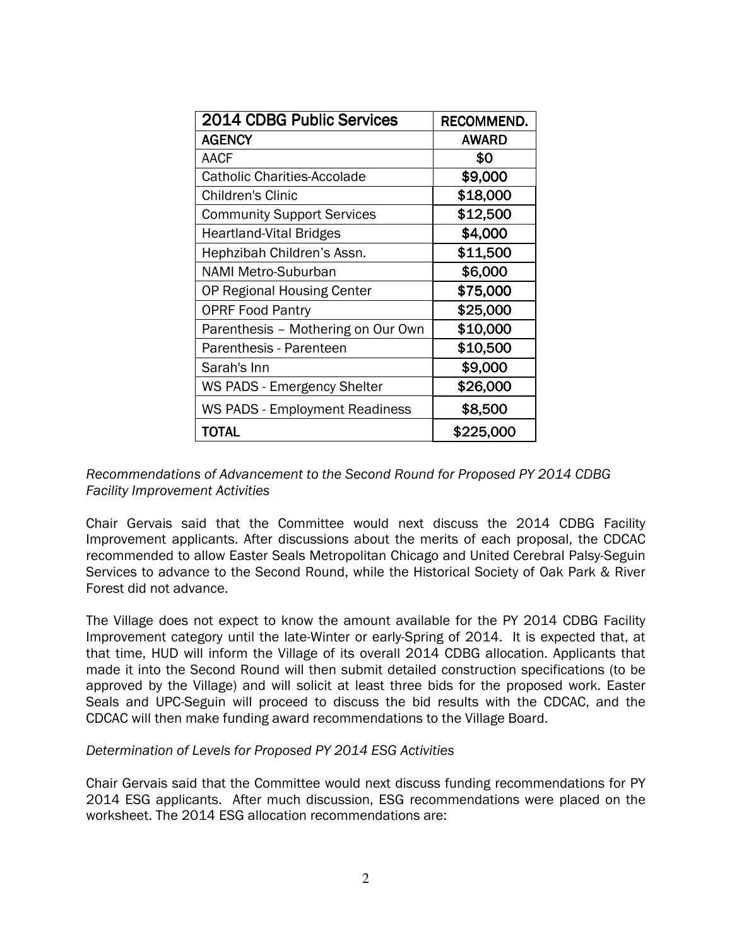| 2014 CDBG Public Services             | RECOMMEND.   |
|---------------------------------------|--------------|
| <b>AGENCY</b>                         | <b>AWARD</b> |
| <b>AACF</b>                           | \$0          |
| <b>Catholic Charities-Accolade</b>    | \$9,000      |
| <b>Children's Clinic</b>              | \$18,000     |
| <b>Community Support Services</b>     | \$12,500     |
| <b>Heartland-Vital Bridges</b>        | \$4,000      |
| Hephzibah Children's Assn.            | \$11,500     |
| <b>NAMI Metro-Suburban</b>            | \$6,000      |
| OP Regional Housing Center            | \$75,000     |
| <b>OPRF Food Pantry</b>               | \$25,000     |
| Parenthesis - Mothering on Our Own    | \$10,000     |
| Parenthesis - Parenteen               | \$10,500     |
| Sarah's Inn                           | \$9,000      |
| <b>WS PADS - Emergency Shelter</b>    | \$26,000     |
| <b>WS PADS - Employment Readiness</b> | \$8,500      |
| TOTAL                                 | \$225,000    |

### Recommendations of Advancement to the Second Round for Proposed PY 2014 CDBG Facility Improvement Activities

Chair Gervais said that the Committee would next discuss the 2014 CDBG Facility Improvement applicants. After discussions about the merits of each proposal, the CDCAC recommended to allow Easter Seals Metropolitan Chicago and United Cerebral Palsy-Seguin Services to advance to the Second Round, while the Historical Society of Oak Park & River Forest did not advance.

The Village does not expect to know the amount available for the PY 2014 CDBG Facility Improvement category until the late-Winter or early-Spring of 2014. It is expected that, at that time, HUD will inform the Village of its overall 2014 CDBG allocation. Applicants that made it into the Second Round will then submit detailed construction specifications (to be approved by the Village) and will solicit at least three bids for the proposed work. Easter Seals and UPC-Seguin will proceed to discuss the bid results with the CDCAC, and the CDCAC will then make funding award recommendations to the Village Board.

### Determination of Levels for Proposed PY 2014 ESG Activities

Chair Gervais said that the Committee would next discuss funding recommendations for PY 2014 ESG applicants. After much discussion, ESG recommendations were placed on the worksheet. The 2014 ESG allocation recommendations are: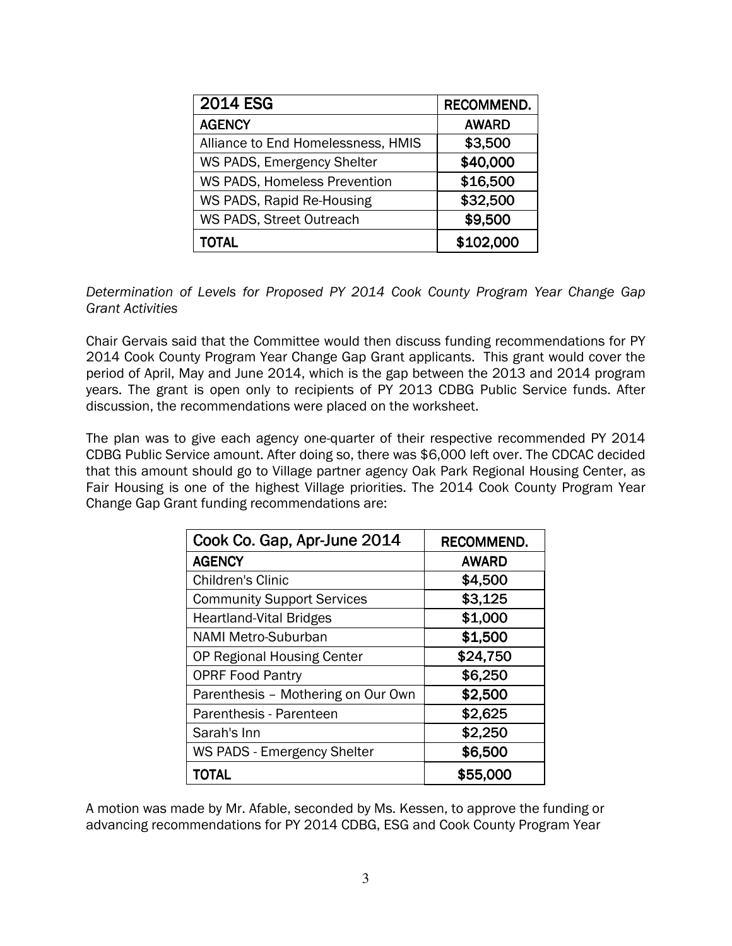| <b>2014 ESG</b>                     | <b>RECOMMEND.</b> |
|-------------------------------------|-------------------|
| <b>AGENCY</b>                       | <b>AWARD</b>      |
| Alliance to End Homelessness, HMIS  | \$3,500           |
| WS PADS, Emergency Shelter          | \$40,000          |
| <b>WS PADS, Homeless Prevention</b> | \$16,500          |
| WS PADS, Rapid Re-Housing           | \$32,500          |
| WS PADS, Street Outreach            | \$9,500           |
| TOTAL                               | \$102,000         |

Determination of Levels for Proposed PY 2014 Cook County Program Year Change Gap Grant Activities

Chair Gervais said that the Committee would then discuss funding recommendations for PY 2014 Cook County Program Year Change Gap Grant applicants. This grant would cover the period of April, May and June 2014, which is the gap between the 2013 and 2014 program years. The grant is open only to recipients of PY 2013 CDBG Public Service funds. After discussion, the recommendations were placed on the worksheet.

The plan was to give each agency one-quarter of their respective recommended PY 2014 CDBG Public Service amount. After doing so, there was \$6,000 left over. The CDCAC decided that this amount should go to Village partner agency Oak Park Regional Housing Center, as Fair Housing is one of the highest Village priorities. The 2014 Cook County Program Year Change Gap Grant funding recommendations are:

| Cook Co. Gap, Apr-June 2014        | RECOMMEND.   |
|------------------------------------|--------------|
| <b>AGENCY</b>                      | <b>AWARD</b> |
| <b>Children's Clinic</b>           | \$4,500      |
| <b>Community Support Services</b>  | \$3,125      |
| <b>Heartland-Vital Bridges</b>     | \$1,000      |
| <b>NAMI Metro-Suburban</b>         | \$1,500      |
| OP Regional Housing Center         | \$24,750     |
| <b>OPRF Food Pantry</b>            | \$6,250      |
| Parenthesis - Mothering on Our Own | \$2,500      |
| Parenthesis - Parenteen            | \$2,625      |
| Sarah's Inn                        | \$2,250      |
| WS PADS - Emergency Shelter        | \$6,500      |
| <b>TOTAL</b>                       | \$55,000     |

A motion was made by Mr. Afable, seconded by Ms. Kessen, to approve the funding or advancing recommendations for PY 2014 CDBG, ESG and Cook County Program Year